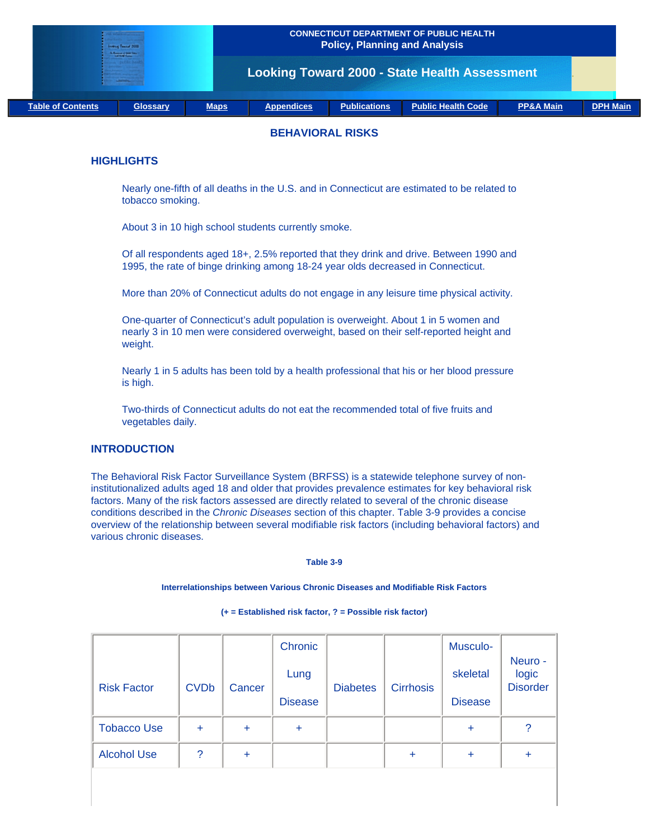| <b>Industries Teacher 2000</b><br><b><i><u>STATISTICS</u></i></b><br><b>Change</b> |                 |             | <b>CONNECTICUT DEPARTMENT OF PUBLIC HEALTH</b><br><b>Policy, Planning and Analysis</b> |                     |                           |                      |                 |  |
|------------------------------------------------------------------------------------|-----------------|-------------|----------------------------------------------------------------------------------------|---------------------|---------------------------|----------------------|-----------------|--|
|                                                                                    |                 |             | <b>Looking Toward 2000 - State Health Assessment</b>                                   |                     |                           |                      |                 |  |
| <b>Table of Contents</b>                                                           | <b>Glossary</b> | <b>Maps</b> | <b>Appendices</b>                                                                      | <b>Publications</b> | <b>Public Health Code</b> | <b>PP&amp;A Main</b> | <b>DPH Main</b> |  |

## **BEHAVIORAL RISKS**

## **HIGHLIGHTS**

Nearly one-fifth of all deaths in the U.S. and in Connecticut are estimated to be related to tobacco smoking.

About 3 in 10 high school students currently smoke.

Of all respondents aged 18+, 2.5% reported that they drink and drive. Between 1990 and 1995, the rate of binge drinking among 18-24 year olds decreased in Connecticut.

More than 20% of Connecticut adults do not engage in any leisure time physical activity.

One-quarter of Connecticut's adult population is overweight. About 1 in 5 women and nearly 3 in 10 men were considered overweight, based on their self-reported height and weight.

Nearly 1 in 5 adults has been told by a health professional that his or her blood pressure is high.

Two-thirds of Connecticut adults do not eat the recommended total of five fruits and vegetables daily.

## **INTRODUCTION**

The Behavioral Risk Factor Surveillance System (BRFSS) is a statewide telephone survey of noninstitutionalized adults aged 18 and older that provides prevalence estimates for key behavioral risk factors. Many of the risk factors assessed are directly related to several of the chronic disease conditions described in the *Chronic Diseases* section of this chapter. Table 3-9 provides a concise overview of the relationship between several modifiable risk factors (including behavioral factors) and various chronic diseases.

**Table 3-9**

**Interrelationships between Various Chronic Diseases and Modifiable Risk Factors**

|                    |             |           | Chronic        |                 |                  | Musculo-       |                                     |
|--------------------|-------------|-----------|----------------|-----------------|------------------|----------------|-------------------------------------|
| <b>Risk Factor</b> | <b>CVDb</b> | Cancer    | Lung           | <b>Diabetes</b> | <b>Cirrhosis</b> | skeletal       | Neuro -<br>logic<br><b>Disorder</b> |
|                    |             |           | <b>Disease</b> |                 |                  | <b>Disease</b> |                                     |
| <b>Tobacco Use</b> | $\ddot{}$   | $\ddot{}$ | ÷              |                 |                  | $\ddot{}$      | $\overline{?}$                      |
| <b>Alcohol Use</b> | ?           | ÷         |                |                 | ÷                | $\ddot{}$      | ÷                                   |
|                    |             |           |                |                 |                  |                |                                     |

**(+ = Established risk factor, ? = Possible risk factor)**